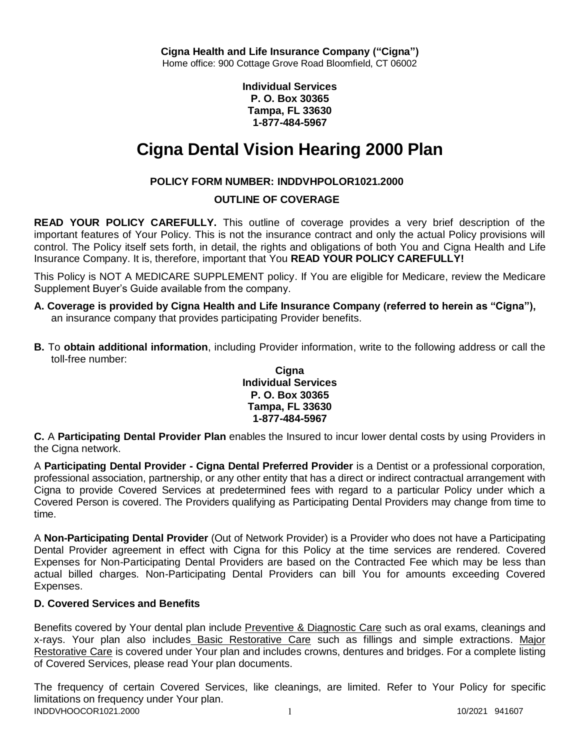**Individual Services P. O. Box 30365 Tampa, FL 33630 1-877-484-5967**

# **Cigna Dental Vision Hearing 2000 Plan**

# **POLICY FORM NUMBER: INDDVHPOLOR1021.2000**

# **OUTLINE OF COVERAGE**

**READ YOUR POLICY CAREFULLY.** This outline of coverage provides a very brief description of the important features of Your Policy. This is not the insurance contract and only the actual Policy provisions will control. The Policy itself sets forth, in detail, the rights and obligations of both You and Cigna Health and Life Insurance Company. It is, therefore, important that You **READ YOUR POLICY CAREFULLY!** 

This Policy is NOT A MEDICARE SUPPLEMENT policy. If You are eligible for Medicare, review the Medicare Supplement Buyer's Guide available from the company.

- **A. Coverage is provided by Cigna Health and Life Insurance Company (referred to herein as "Cigna"),**  an insurance company that provides participating Provider benefits.
- **B.** To **obtain additional information**, including Provider information, write to the following address or call the toll-free number:

### **Cigna Individual Services P. O. Box 30365 Tampa, FL 33630 1-877-484-5967**

**C.** A **Participating Dental Provider Plan** enables the Insured to incur lower dental costs by using Providers in the Cigna network.

A **Participating Dental Provider - Cigna Dental Preferred Provider** is a Dentist or a professional corporation, professional association, partnership, or any other entity that has a direct or indirect contractual arrangement with Cigna to provide Covered Services at predetermined fees with regard to a particular Policy under which a Covered Person is covered. The Providers qualifying as Participating Dental Providers may change from time to time.

A **Non-Participating Dental Provider** (Out of Network Provider) is a Provider who does not have a Participating Dental Provider agreement in effect with Cigna for this Policy at the time services are rendered. Covered Expenses for Non-Participating Dental Providers are based on the Contracted Fee which may be less than actual billed charges. Non-Participating Dental Providers can bill You for amounts exceeding Covered Expenses.

# **D. Covered Services and Benefits**

Benefits covered by Your dental plan include Preventive & Diagnostic Care such as oral exams, cleanings and x-rays. Your plan also includes Basic Restorative Care such as fillings and simple extractions. Major Restorative Care is covered under Your plan and includes crowns, dentures and bridges. For a complete listing of Covered Services, please read Your plan documents.

INDDVHOOCOR1021.2000 1 1 1 2 20 21 22 22 23 241607 The frequency of certain Covered Services, like cleanings, are limited. Refer to Your Policy for specific limitations on frequency under Your plan.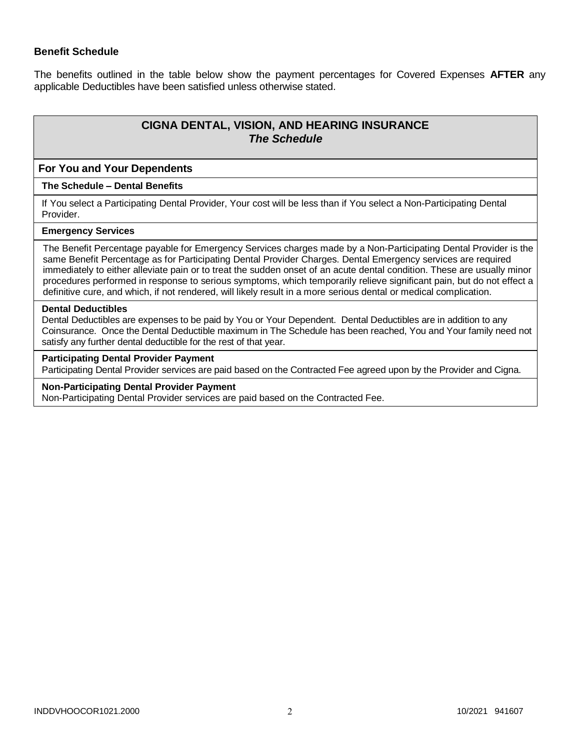### **Benefit Schedule**

The benefits outlined in the table below show the payment percentages for Covered Expenses **AFTER** any applicable Deductibles have been satisfied unless otherwise stated.

# **CIGNA DENTAL, VISION, AND HEARING INSURANCE** *The Schedule*

#### **For You and Your Dependents**

#### **The Schedule – Dental Benefits**

If You select a Participating Dental Provider, Your cost will be less than if You select a Non-Participating Dental Provider.

### **Emergency Services**

The Benefit Percentage payable for Emergency Services charges made by a Non-Participating Dental Provider is the same Benefit Percentage as for Participating Dental Provider Charges. Dental Emergency services are required immediately to either alleviate pain or to treat the sudden onset of an acute dental condition. These are usually minor procedures performed in response to serious symptoms, which temporarily relieve significant pain, but do not effect a definitive cure, and which, if not rendered, will likely result in a more serious dental or medical complication.

#### **Dental Deductibles**

Dental Deductibles are expenses to be paid by You or Your Dependent. Dental Deductibles are in addition to any Coinsurance. Once the Dental Deductible maximum in The Schedule has been reached, You and Your family need not satisfy any further dental deductible for the rest of that year.

#### **Participating Dental Provider Payment**

Participating Dental Provider services are paid based on the Contracted Fee agreed upon by the Provider and Cigna.

#### **Non-Participating Dental Provider Payment**

Non-Participating Dental Provider services are paid based on the Contracted Fee.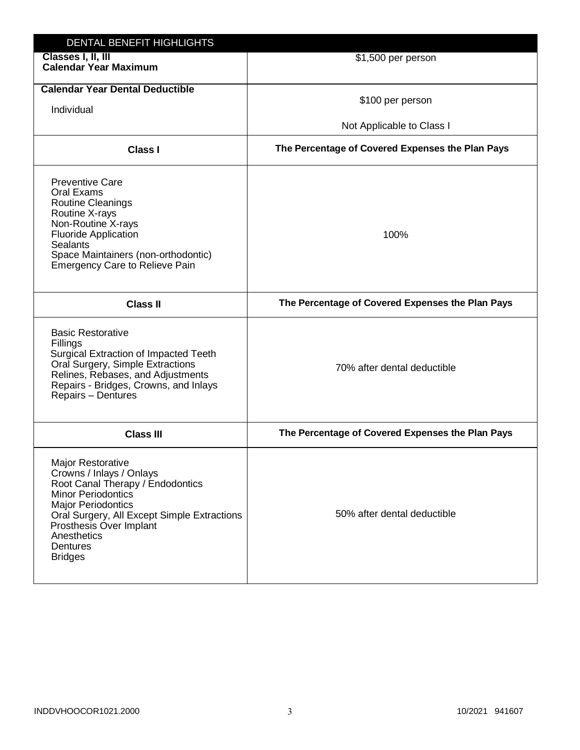| DENTAL BENEFIT HIGHLIGHTS                                                                                                                                                                                                                                          |                                                  |
|--------------------------------------------------------------------------------------------------------------------------------------------------------------------------------------------------------------------------------------------------------------------|--------------------------------------------------|
| Classes I, II, III<br><b>Calendar Year Maximum</b>                                                                                                                                                                                                                 | \$1,500 per person                               |
| <b>Calendar Year Dental Deductible</b><br>Individual                                                                                                                                                                                                               | \$100 per person                                 |
|                                                                                                                                                                                                                                                                    | Not Applicable to Class I                        |
| <b>Class I</b>                                                                                                                                                                                                                                                     | The Percentage of Covered Expenses the Plan Pays |
| <b>Preventive Care</b><br>Oral Exams<br><b>Routine Cleanings</b><br>Routine X-rays<br>Non-Routine X-rays<br><b>Fluoride Application</b><br><b>Sealants</b><br>Space Maintainers (non-orthodontic)<br><b>Emergency Care to Relieve Pain</b>                         | 100%                                             |
| <b>Class II</b>                                                                                                                                                                                                                                                    | The Percentage of Covered Expenses the Plan Pays |
| <b>Basic Restorative</b><br>Fillings<br><b>Surgical Extraction of Impacted Teeth</b><br>Oral Surgery, Simple Extractions<br>Relines, Rebases, and Adjustments<br>Repairs - Bridges, Crowns, and Inlays<br>Repairs - Dentures                                       | 70% after dental deductible                      |
| <b>Class III</b>                                                                                                                                                                                                                                                   | The Percentage of Covered Expenses the Plan Pays |
| Major Restorative<br>Crowns / Inlays / Onlays<br>Root Canal Therapy / Endodontics<br><b>Minor Periodontics</b><br><b>Major Periodontics</b><br>Oral Surgery, All Except Simple Extractions<br>Prosthesis Over Implant<br>Anesthetics<br>Dentures<br><b>Bridges</b> | 50% after dental deductible                      |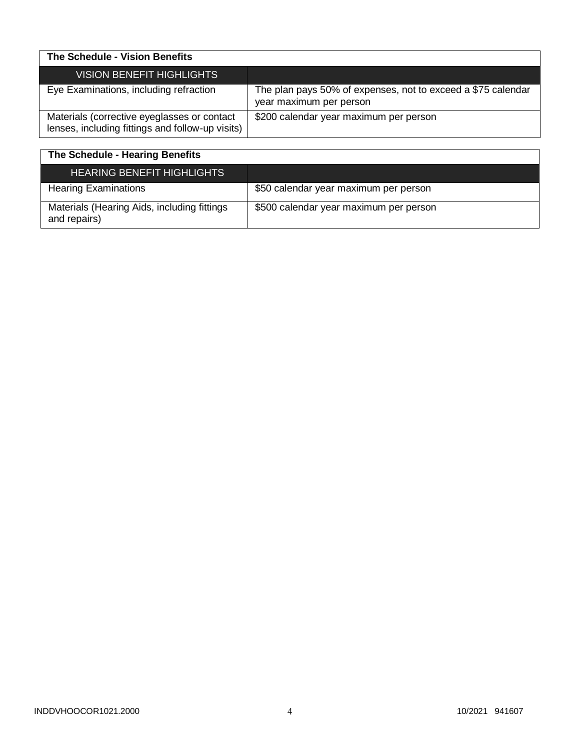| The Schedule - Vision Benefits                                                                  |                                                                                         |
|-------------------------------------------------------------------------------------------------|-----------------------------------------------------------------------------------------|
| <b>VISION BENEFIT HIGHLIGHTS</b>                                                                |                                                                                         |
| Eye Examinations, including refraction                                                          | The plan pays 50% of expenses, not to exceed a \$75 calendar<br>year maximum per person |
| Materials (corrective eyeglasses or contact<br>lenses, including fittings and follow-up visits) | \$200 calendar year maximum per person                                                  |

| The Schedule - Hearing Benefits                             |                                        |
|-------------------------------------------------------------|----------------------------------------|
| <b>HEARING BENEFIT HIGHLIGHTS</b>                           |                                        |
| <b>Hearing Examinations</b>                                 | \$50 calendar year maximum per person  |
| Materials (Hearing Aids, including fittings<br>and repairs) | \$500 calendar year maximum per person |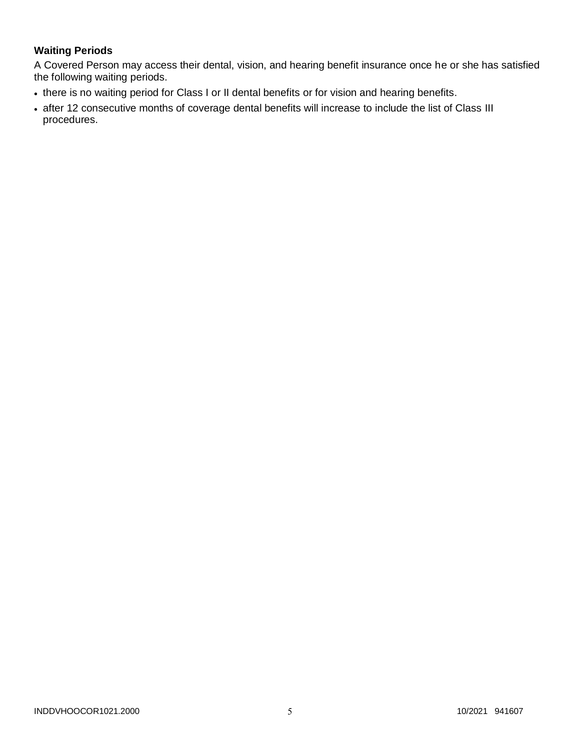# **Waiting Periods**

A Covered Person may access their dental, vision, and hearing benefit insurance once he or she has satisfied the following waiting periods.

- there is no waiting period for Class I or II dental benefits or for vision and hearing benefits.
- after 12 consecutive months of coverage dental benefits will increase to include the list of Class III procedures.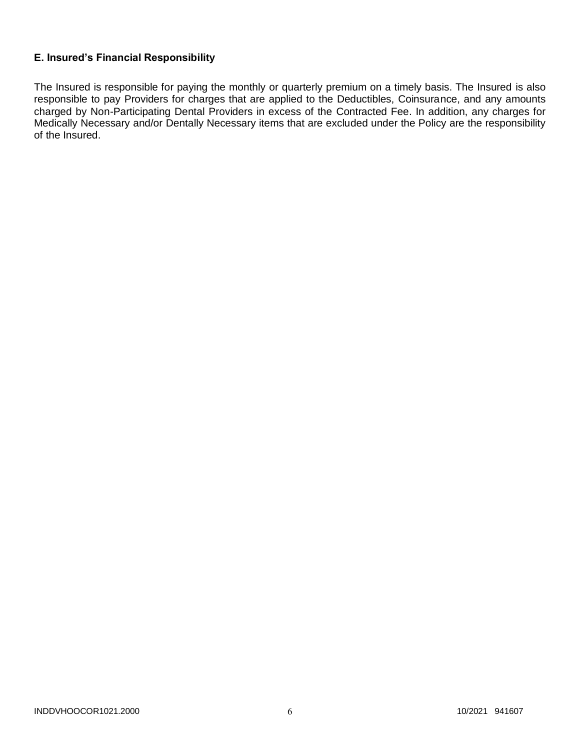# **E. Insured's Financial Responsibility**

The Insured is responsible for paying the monthly or quarterly premium on a timely basis. The Insured is also responsible to pay Providers for charges that are applied to the Deductibles, Coinsurance, and any amounts charged by Non-Participating Dental Providers in excess of the Contracted Fee. In addition, any charges for Medically Necessary and/or Dentally Necessary items that are excluded under the Policy are the responsibility of the Insured.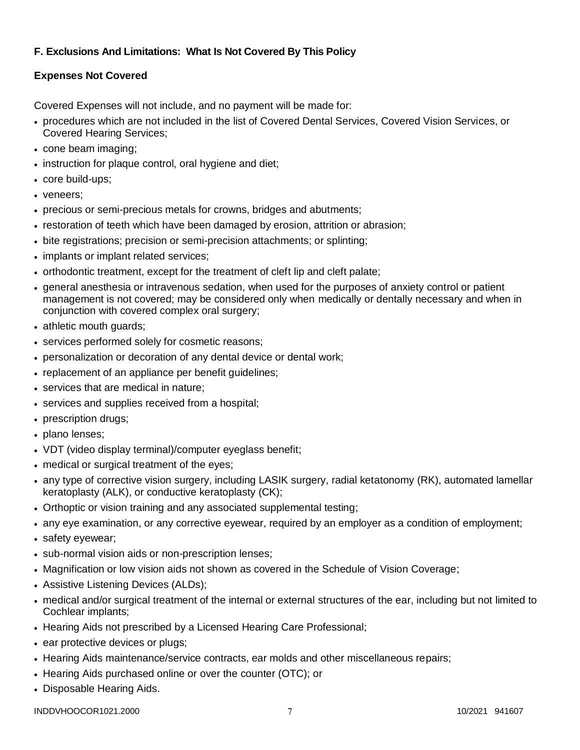# **F. Exclusions And Limitations: What Is Not Covered By This Policy**

# **Expenses Not Covered**

Covered Expenses will not include, and no payment will be made for:

- procedures which are not included in the list of Covered Dental Services, Covered Vision Services, or Covered Hearing Services;
- cone beam imaging;
- instruction for plaque control, oral hygiene and diet;
- core build-ups;
- veneers:
- precious or semi-precious metals for crowns, bridges and abutments;
- restoration of teeth which have been damaged by erosion, attrition or abrasion;
- bite registrations; precision or semi-precision attachments; or splinting;
- implants or implant related services;
- orthodontic treatment, except for the treatment of cleft lip and cleft palate;
- general anesthesia or intravenous sedation, when used for the purposes of anxiety control or patient management is not covered; may be considered only when medically or dentally necessary and when in conjunction with covered complex oral surgery;
- athletic mouth guards;
- services performed solely for cosmetic reasons;
- personalization or decoration of any dental device or dental work;
- replacement of an appliance per benefit quidelines;
- services that are medical in nature:
- services and supplies received from a hospital;
- prescription drugs;
- plano lenses;
- VDT (video display terminal)/computer eyeglass benefit;
- medical or surgical treatment of the eyes;
- any type of corrective vision surgery, including LASIK surgery, radial ketatonomy (RK), automated lamellar keratoplasty (ALK), or conductive keratoplasty (CK);
- Orthoptic or vision training and any associated supplemental testing;
- any eye examination, or any corrective eyewear, required by an employer as a condition of employment;
- safety eyewear;
- sub-normal vision aids or non-prescription lenses;
- Magnification or low vision aids not shown as covered in the Schedule of Vision Coverage;
- Assistive Listening Devices (ALDs);
- medical and/or surgical treatment of the internal or external structures of the ear, including but not limited to Cochlear implants;
- Hearing Aids not prescribed by a Licensed Hearing Care Professional;
- ear protective devices or plugs;
- Hearing Aids maintenance/service contracts, ear molds and other miscellaneous repairs;
- Hearing Aids purchased online or over the counter (OTC); or
- Disposable Hearing Aids.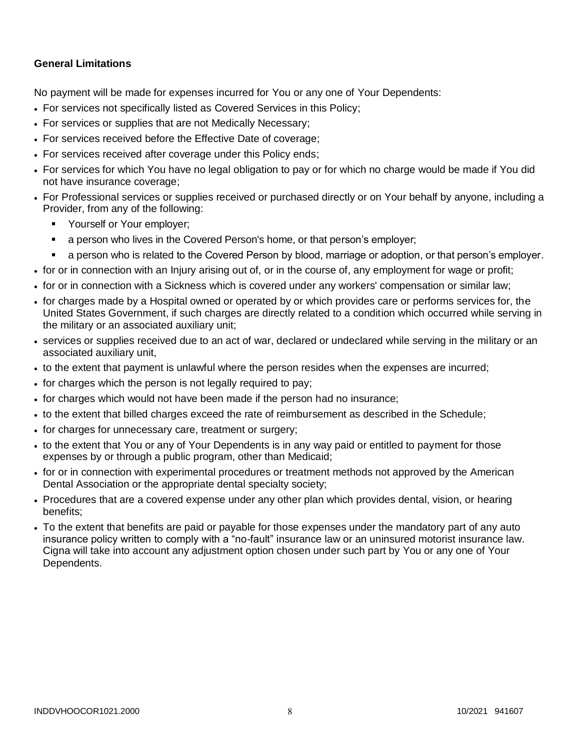# **General Limitations**

No payment will be made for expenses incurred for You or any one of Your Dependents:

- For services not specifically listed as Covered Services in this Policy;
- For services or supplies that are not Medically Necessary;
- For services received before the Effective Date of coverage;
- For services received after coverage under this Policy ends;
- For services for which You have no legal obligation to pay or for which no charge would be made if You did not have insurance coverage;
- For Professional services or supplies received or purchased directly or on Your behalf by anyone, including a Provider, from any of the following:
	- **Yourself or Your employer;**
	- a person who lives in the Covered Person's home, or that person's employer;
	- a person who is related to the Covered Person by blood, marriage or adoption, or that person's employer.
- for or in connection with an Injury arising out of, or in the course of, any employment for wage or profit;
- for or in connection with a Sickness which is covered under any workers' compensation or similar law;
- for charges made by a Hospital owned or operated by or which provides care or performs services for, the United States Government, if such charges are directly related to a condition which occurred while serving in the military or an associated auxiliary unit;
- services or supplies received due to an act of war, declared or undeclared while serving in the military or an associated auxiliary unit,
- to the extent that payment is unlawful where the person resides when the expenses are incurred;
- for charges which the person is not legally required to pay;
- for charges which would not have been made if the person had no insurance;
- to the extent that billed charges exceed the rate of reimbursement as described in the Schedule;
- for charges for unnecessary care, treatment or surgery;
- to the extent that You or any of Your Dependents is in any way paid or entitled to payment for those expenses by or through a public program, other than Medicaid;
- for or in connection with experimental procedures or treatment methods not approved by the American Dental Association or the appropriate dental specialty society;
- Procedures that are a covered expense under any other plan which provides dental, vision, or hearing benefits;
- To the extent that benefits are paid or payable for those expenses under the mandatory part of any auto insurance policy written to comply with a "no-fault" insurance law or an uninsured motorist insurance law. Cigna will take into account any adjustment option chosen under such part by You or any one of Your Dependents.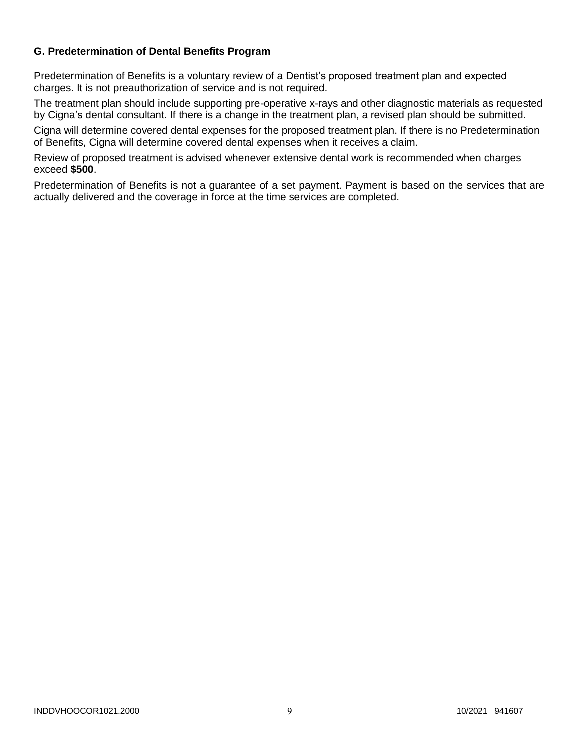# **G. Predetermination of Dental Benefits Program**

Predetermination of Benefits is a voluntary review of a Dentist's proposed treatment plan and expected charges. It is not preauthorization of service and is not required.

The treatment plan should include supporting pre-operative x-rays and other diagnostic materials as requested by Cigna's dental consultant. If there is a change in the treatment plan, a revised plan should be submitted.

Cigna will determine covered dental expenses for the proposed treatment plan. If there is no Predetermination of Benefits, Cigna will determine covered dental expenses when it receives a claim.

Review of proposed treatment is advised whenever extensive dental work is recommended when charges exceed **\$500**.

Predetermination of Benefits is not a guarantee of a set payment. Payment is based on the services that are actually delivered and the coverage in force at the time services are completed.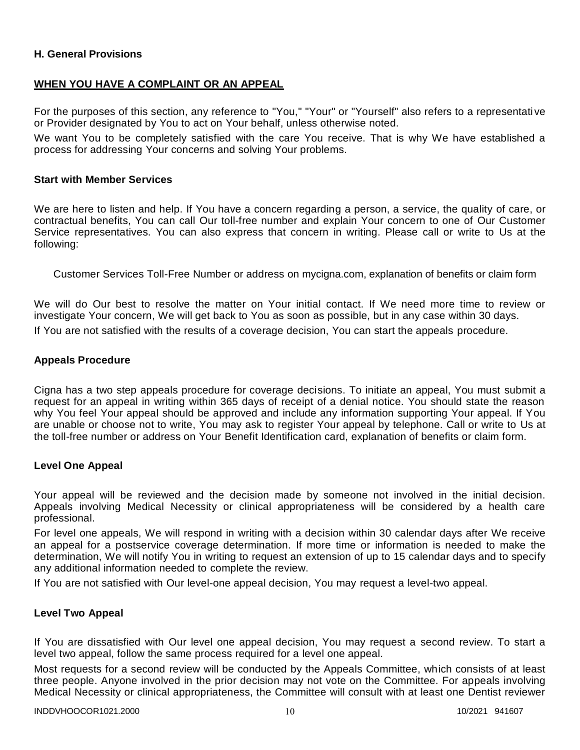# **H. General Provisions**

### **WHEN YOU HAVE A COMPLAINT OR AN APPEAL**

For the purposes of this section, any reference to "You," "Your" or "Yourself" also refers to a representati ve or Provider designated by You to act on Your behalf, unless otherwise noted.

We want You to be completely satisfied with the care You receive. That is why We have established a process for addressing Your concerns and solving Your problems.

#### **Start with Member Services**

We are here to listen and help. If You have a concern regarding a person, a service, the quality of care, or contractual benefits, You can call Our toll-free number and explain Your concern to one of Our Customer Service representatives. You can also express that concern in writing. Please call or write to Us at the following:

Customer Services Toll-Free Number or address on mycigna.com, explanation of benefits or claim form

We will do Our best to resolve the matter on Your initial contact. If We need more time to review or investigate Your concern, We will get back to You as soon as possible, but in any case within 30 days. If You are not satisfied with the results of a coverage decision, You can start the appeals procedure.

### **Appeals Procedure**

Cigna has a two step appeals procedure for coverage decisions. To initiate an appeal, You must submit a request for an appeal in writing within 365 days of receipt of a denial notice. You should state the reason why You feel Your appeal should be approved and include any information supporting Your appeal. If You are unable or choose not to write, You may ask to register Your appeal by telephone. Call or write to Us at the toll-free number or address on Your Benefit Identification card, explanation of benefits or claim form.

### **Level One Appeal**

Your appeal will be reviewed and the decision made by someone not involved in the initial decision. Appeals involving Medical Necessity or clinical appropriateness will be considered by a health care professional.

For level one appeals, We will respond in writing with a decision within 30 calendar days after We receive an appeal for a postservice coverage determination. If more time or information is needed to make the determination, We will notify You in writing to request an extension of up to 15 calendar days and to specify any additional information needed to complete the review.

If You are not satisfied with Our level-one appeal decision, You may request a level-two appeal.

### **Level Two Appeal**

If You are dissatisfied with Our level one appeal decision, You may request a second review. To start a level two appeal, follow the same process required for a level one appeal.

Most requests for a second review will be conducted by the Appeals Committee, which consists of at least three people. Anyone involved in the prior decision may not vote on the Committee. For appeals involving Medical Necessity or clinical appropriateness, the Committee will consult with at least one Dentist reviewer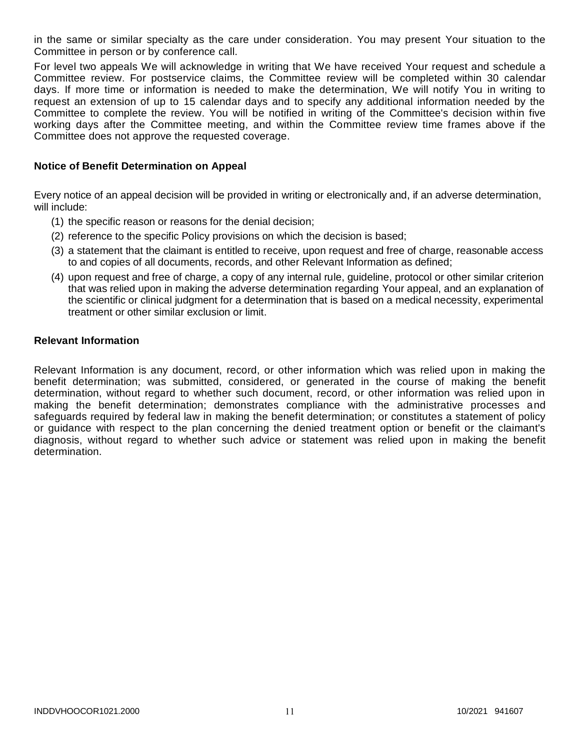in the same or similar specialty as the care under consideration. You may present Your situation to the Committee in person or by conference call.

For level two appeals We will acknowledge in writing that We have received Your request and schedule a Committee review. For postservice claims, the Committee review will be completed within 30 calendar days. If more time or information is needed to make the determination, We will notify You in writing to request an extension of up to 15 calendar days and to specify any additional information needed by the Committee to complete the review. You will be notified in writing of the Committee's decision within five working days after the Committee meeting, and within the Committee review time frames above if the Committee does not approve the requested coverage.

### **Notice of Benefit Determination on Appeal**

Every notice of an appeal decision will be provided in writing or electronically and, if an adverse determination, will include:

- (1) the specific reason or reasons for the denial decision;
- (2) reference to the specific Policy provisions on which the decision is based;
- (3) a statement that the claimant is entitled to receive, upon request and free of charge, reasonable access to and copies of all documents, records, and other Relevant Information as defined;
- (4) upon request and free of charge, a copy of any internal rule, guideline, protocol or other similar criterion that was relied upon in making the adverse determination regarding Your appeal, and an explanation of the scientific or clinical judgment for a determination that is based on a medical necessity, experimental treatment or other similar exclusion or limit.

### **Relevant Information**

Relevant Information is any document, record, or other information which was relied upon in making the benefit determination; was submitted, considered, or generated in the course of making the benefit determination, without regard to whether such document, record, or other information was relied upon in making the benefit determination; demonstrates compliance with the administrative processes and safeguards required by federal law in making the benefit determination; or constitutes a statement of policy or guidance with respect to the plan concerning the denied treatment option or benefit or the claimant's diagnosis, without regard to whether such advice or statement was relied upon in making the benefit determination.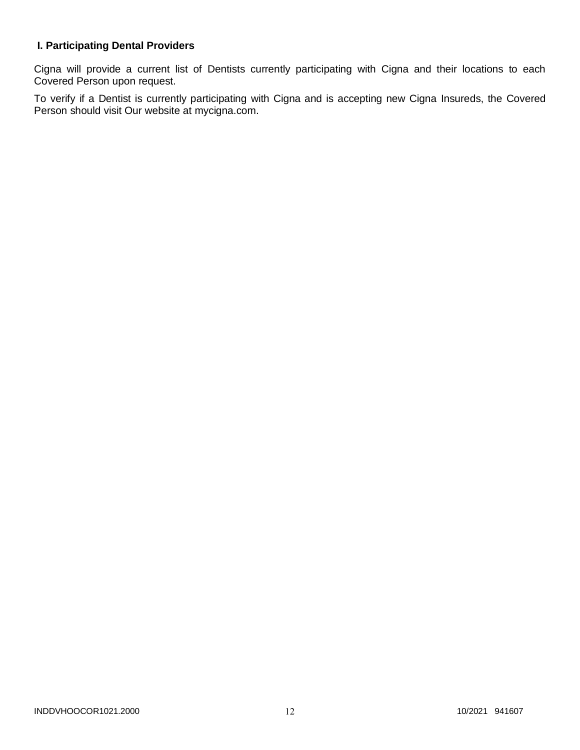# **I. Participating Dental Providers**

Cigna will provide a current list of Dentists currently participating with Cigna and their locations to each Covered Person upon request.

To verify if a Dentist is currently participating with Cigna and is accepting new Cigna Insureds, the Covered Person should visit Our website at mycigna.com.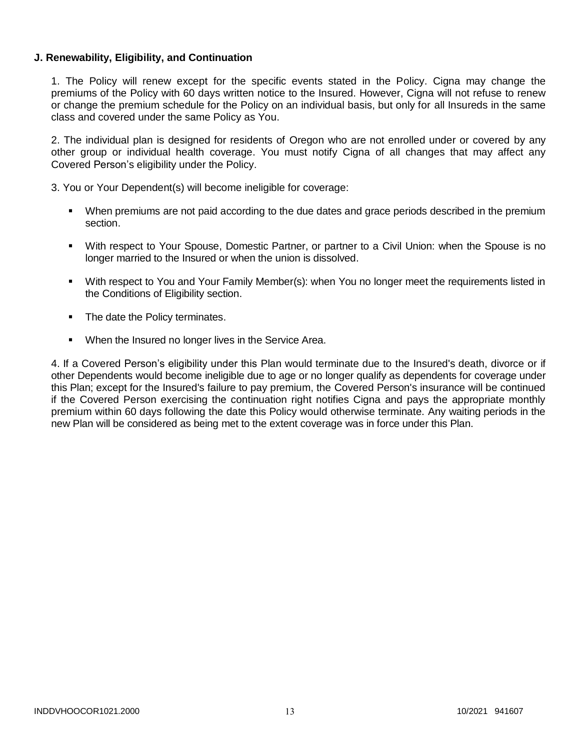# **J. Renewability, Eligibility, and Continuation**

1. The Policy will renew except for the specific events stated in the Policy. Cigna may change the premiums of the Policy with 60 days written notice to the Insured. However, Cigna will not refuse to renew or change the premium schedule for the Policy on an individual basis, but only for all Insureds in the same class and covered under the same Policy as You.

2. The individual plan is designed for residents of Oregon who are not enrolled under or covered by any other group or individual health coverage. You must notify Cigna of all changes that may affect any Covered Person's eligibility under the Policy.

3. You or Your Dependent(s) will become ineligible for coverage:

- When premiums are not paid according to the due dates and grace periods described in the premium section.
- With respect to Your Spouse, Domestic Partner, or partner to a Civil Union: when the Spouse is no longer married to the Insured or when the union is dissolved.
- With respect to You and Your Family Member(s): when You no longer meet the requirements listed in the Conditions of Eligibility section.
- The date the Policy terminates.
- **When the Insured no longer lives in the Service Area.**

4. If a Covered Person's eligibility under this Plan would terminate due to the Insured's death, divorce or if other Dependents would become ineligible due to age or no longer qualify as dependents for coverage under this Plan; except for the Insured's failure to pay premium, the Covered Person's insurance will be continued if the Covered Person exercising the continuation right notifies Cigna and pays the appropriate monthly premium within 60 days following the date this Policy would otherwise terminate. Any waiting periods in the new Plan will be considered as being met to the extent coverage was in force under this Plan.